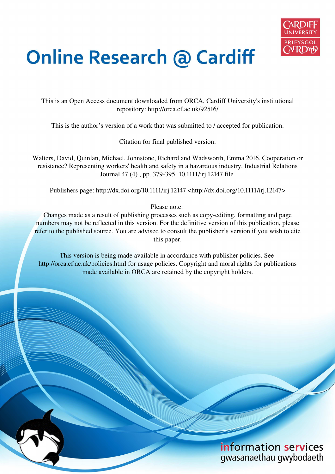

# **Online Research @ Cardiff**

This is an Open Access document downloaded from ORCA, Cardiff University's institutional repository: http://orca.cf.ac.uk/92516/

This is the author's version of a work that was submitted to / accepted for publication.

Citation for final published version:

Walters, David, Quinlan, Michael, Johnstone, Richard and Wadsworth, Emma 2016. Cooperation or resistance? Representing workers' health and safety in a hazardous industry. Industrial Relations Journal 47 (4) , pp. 379-395. 10.1111/irj.12147 file

Publishers page: http://dx.doi.org/10.1111/irj.12147 <http://dx.doi.org/10.1111/irj.12147>

Please note:

Changes made as a result of publishing processes such as copy-editing, formatting and page numbers may not be reflected in this version. For the definitive version of this publication, please refer to the published source. You are advised to consult the publisher's version if you wish to cite this paper.

This version is being made available in accordance with publisher policies. See http://orca.cf.ac.uk/policies.html for usage policies. Copyright and moral rights for publications made available in ORCA are retained by the copyright holders.

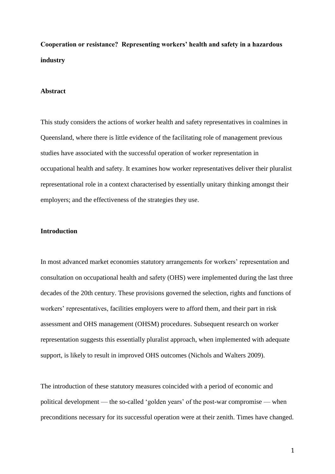**Cooperation or resistance? Representing workers' health and safety in a hazardous industry** 

# **Abstract**

This study considers the actions of worker health and safety representatives in coalmines in Queensland, where there is little evidence of the facilitating role of management previous studies have associated with the successful operation of worker representation in occupational health and safety. It examines how worker representatives deliver their pluralist representational role in a context characterised by essentially unitary thinking amongst their employers; and the effectiveness of the strategies they use.

# **Introduction**

In most advanced market economies statutory arrangements for workers' representation and consultation on occupational health and safety (OHS) were implemented during the last three decades of the 20th century. These provisions governed the selection, rights and functions of workers' representatives, facilities employers were to afford them, and their part in risk assessment and OHS management (OHSM) procedures. Subsequent research on worker representation suggests this essentially pluralist approach, when implemented with adequate support, is likely to result in improved OHS outcomes (Nichols and Walters 2009).

The introduction of these statutory measures coincided with a period of economic and political development — the so-called 'golden years' of the post-war compromise — when preconditions necessary for its successful operation were at their zenith. Times have changed.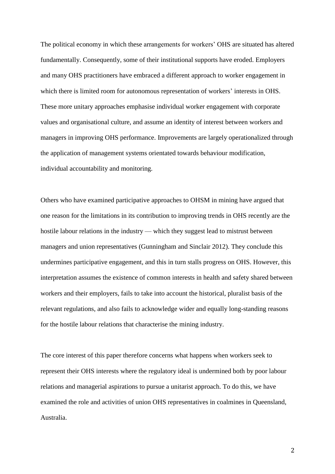The political economy in which these arrangements for workers' OHS are situated has altered fundamentally. Consequently, some of their institutional supports have eroded. Employers and many OHS practitioners have embraced a different approach to worker engagement in which there is limited room for autonomous representation of workers' interests in OHS. These more unitary approaches emphasise individual worker engagement with corporate values and organisational culture, and assume an identity of interest between workers and managers in improving OHS performance. Improvements are largely operationalized through the application of management systems orientated towards behaviour modification, individual accountability and monitoring.

Others who have examined participative approaches to OHSM in mining have argued that one reason for the limitations in its contribution to improving trends in OHS recently are the hostile labour relations in the industry — which they suggest lead to mistrust between managers and union representatives (Gunningham and Sinclair 2012). They conclude this undermines participative engagement, and this in turn stalls progress on OHS. However, this interpretation assumes the existence of common interests in health and safety shared between workers and their employers, fails to take into account the historical, pluralist basis of the relevant regulations, and also fails to acknowledge wider and equally long-standing reasons for the hostile labour relations that characterise the mining industry.

The core interest of this paper therefore concerns what happens when workers seek to represent their OHS interests where the regulatory ideal is undermined both by poor labour relations and managerial aspirations to pursue a unitarist approach. To do this, we have examined the role and activities of union OHS representatives in coalmines in Queensland, Australia.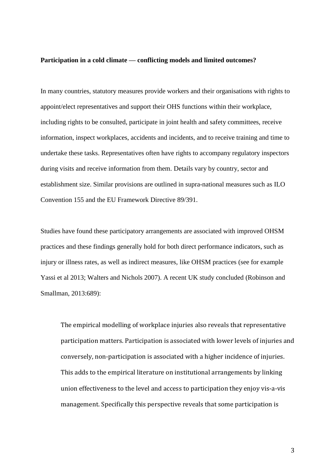### Participation in a cold climate — conflicting models and limited outcomes?

In many countries, statutory measures provide workers and their organisations with rights to appoint/elect representatives and support their OHS functions within their workplace, including rights to be consulted, participate in joint health and safety committees, receive information, inspect workplaces, accidents and incidents, and to receive training and time to undertake these tasks. Representatives often have rights to accompany regulatory inspectors during visits and receive information from them. Details vary by country, sector and establishment size. Similar provisions are outlined in supra-national measures such as ILO Convention 155 and the EU Framework Directive 89/391.

Studies have found these participatory arrangements are associated with improved OHSM practices and these findings generally hold for both direct performance indicators, such as injury or illness rates, as well as indirect measures, like OHSM practices (see for example Yassi et al 2013; Walters and Nichols 2007). A recent UK study concluded (Robinson and Smallman, 2013:689):

The empirical modelling of workplace injuries also reveals that representative participation matters. Participation is associated with lower levels of injuries and conversely, non-participation is associated with a higher incidence of injuries. This adds to the empirical literature on institutional arrangements by linking union effectiveness to the level and access to participation they enjoy vis-a-vis management. Specifically this perspective reveals that some participation is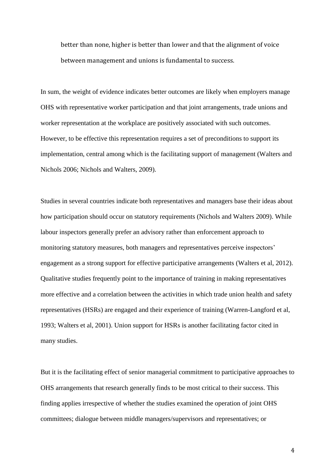better than none, higher is better than lower and that the alignment of voice between management and unions is fundamental to success.

In sum, the weight of evidence indicates better outcomes are likely when employers manage OHS with representative worker participation and that joint arrangements, trade unions and worker representation at the workplace are positively associated with such outcomes. However, to be effective this representation requires a set of preconditions to support its implementation, central among which is the facilitating support of management (Walters and Nichols 2006; Nichols and Walters, 2009).

Studies in several countries indicate both representatives and managers base their ideas about how participation should occur on statutory requirements (Nichols and Walters 2009). While labour inspectors generally prefer an advisory rather than enforcement approach to monitoring statutory measures, both managers and representatives perceive inspectors' engagement as a strong support for effective participative arrangements (Walters et al, 2012). Qualitative studies frequently point to the importance of training in making representatives more effective and a correlation between the activities in which trade union health and safety representatives (HSRs) are engaged and their experience of training (Warren-Langford et al, 1993; Walters et al, 2001). Union support for HSRs is another facilitating factor cited in many studies.

But it is the facilitating effect of senior managerial commitment to participative approaches to OHS arrangements that research generally finds to be most critical to their success. This finding applies irrespective of whether the studies examined the operation of joint OHS committees; dialogue between middle managers/supervisors and representatives; or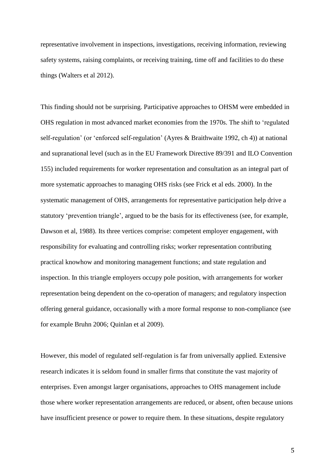representative involvement in inspections, investigations, receiving information, reviewing safety systems, raising complaints, or receiving training, time off and facilities to do these things (Walters et al 2012).

This finding should not be surprising. Participative approaches to OHSM were embedded in OHS regulation in most advanced market economies from the 1970s. The shift to 'regulated self-regulation' (or 'enforced self-regulation' (Ayres & Braithwaite 1992, ch 4)) at national and supranational level (such as in the EU Framework Directive 89/391 and ILO Convention 155) included requirements for worker representation and consultation as an integral part of more systematic approaches to managing OHS risks (see Frick et al eds. 2000). In the systematic management of OHS, arrangements for representative participation help drive a statutory 'prevention triangle', argued to be the basis for its effectiveness (see, for example, Dawson et al, 1988). Its three vertices comprise: competent employer engagement, with responsibility for evaluating and controlling risks; worker representation contributing practical knowhow and monitoring management functions; and state regulation and inspection. In this triangle employers occupy pole position, with arrangements for worker representation being dependent on the co-operation of managers; and regulatory inspection offering general guidance, occasionally with a more formal response to non-compliance (see for example Bruhn 2006; Quinlan et al 2009).

However, this model of regulated self-regulation is far from universally applied. Extensive research indicates it is seldom found in smaller firms that constitute the vast majority of enterprises. Even amongst larger organisations, approaches to OHS management include those where worker representation arrangements are reduced, or absent, often because unions have insufficient presence or power to require them. In these situations, despite regulatory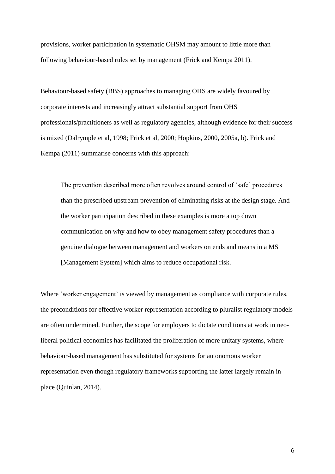provisions, worker participation in systematic OHSM may amount to little more than following behaviour-based rules set by management (Frick and Kempa 2011).

Behaviour-based safety (BBS) approaches to managing OHS are widely favoured by corporate interests and increasingly attract substantial support from OHS professionals/practitioners as well as regulatory agencies, although evidence for their success is mixed (Dalrymple et al, 1998; Frick et al, 2000; Hopkins, 2000, 2005a, b). Frick and Kempa (2011) summarise concerns with this approach:

The prevention described more often revolves around control of 'safe' procedures than the prescribed upstream prevention of eliminating risks at the design stage. And the worker participation described in these examples is more a top down communication on why and how to obey management safety procedures than a genuine dialogue between management and workers on ends and means in a MS [Management System] which aims to reduce occupational risk.

Where 'worker engagement' is viewed by management as compliance with corporate rules, the preconditions for effective worker representation according to pluralist regulatory models are often undermined. Further, the scope for employers to dictate conditions at work in neoliberal political economies has facilitated the proliferation of more unitary systems, where behaviour-based management has substituted for systems for autonomous worker representation even though regulatory frameworks supporting the latter largely remain in place (Quinlan, 2014).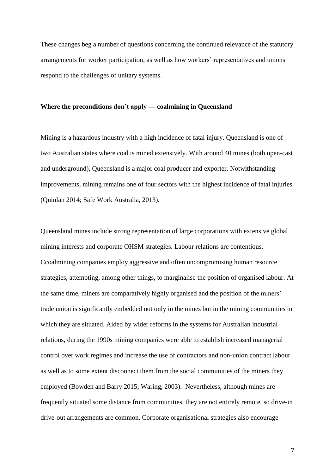These changes beg a number of questions concerning the continued relevance of the statutory arrangements for worker participation, as well as how workers' representatives and unions respond to the challenges of unitary systems.

### **Where the preconditions don't apply — coalmining in Queensland**

Mining is a hazardous industry with a high incidence of fatal injury. Queensland is one of two Australian states where coal is mined extensively. With around 40 mines (both open-cast and underground), Queensland is a major coal producer and exporter. Notwithstanding improvements, mining remains one of four sectors with the highest incidence of fatal injuries (Quinlan 2014; Safe Work Australia, 2013).

Queensland mines include strong representation of large corporations with extensive global mining interests and corporate OHSM strategies. Labour relations are contentious. Ccoalmining companies employ aggressive and often uncompromising human resource strategies, attempting, among other things, to marginalise the position of organised labour. At the same time, miners are comparatively highly organised and the position of the miners' trade union is significantly embedded not only in the mines but in the mining communities in which they are situated. Aided by wider reforms in the systems for Australian industrial relations, during the 1990s mining companies were able to establish increased managerial control over work regimes and increase the use of contractors and non-union contract labour as well as to some extent disconnect them from the social communities of the miners they employed (Bowden and Barry 2015; Waring, 2003). Nevertheless, although mines are frequently situated some distance from communities, they are not entirely remote, so drive-in drive-out arrangements are common. Corporate organisational strategies also encourage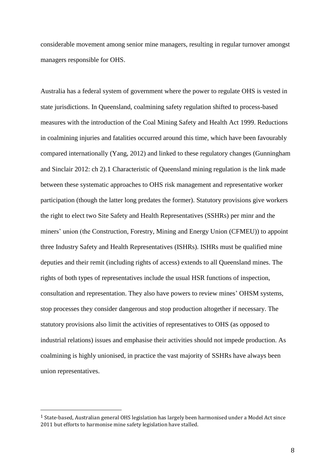considerable movement among senior mine managers, resulting in regular turnover amongst managers responsible for OHS.

Australia has a federal system of government where the power to regulate OHS is vested in state jurisdictions. In Queensland, coalmining safety regulation shifted to process-based measures with the introduction of the Coal Mining Safety and Health Act 1999. Reductions in coalmining injuries and fatalities occurred around this time, which have been favourably compared internationally (Yang, 2012) and linked to these regulatory changes (Gunningham and Sinclair 2012: ch 2).1 Characteristic of Queensland mining regulation is the link made between these systematic approaches to OHS risk management and representative worker participation (though the latter long predates the former). Statutory provisions give workers the right to elect two Site Safety and Health Representatives (SSHRs) per minr and the miners' union (the Construction, Forestry, Mining and Energy Union (CFMEU)) to appoint three Industry Safety and Health Representatives (ISHRs). ISHRs must be qualified mine deputies and their remit (including rights of access) extends to all Queensland mines. The rights of both types of representatives include the usual HSR functions of inspection, consultation and representation. They also have powers to review mines' OHSM systems, stop processes they consider dangerous and stop production altogether if necessary. The statutory provisions also limit the activities of representatives to OHS (as opposed to industrial relations) issues and emphasise their activities should not impede production. As coalmining is highly unionised, in practice the vast majority of SSHRs have always been union representatives.

 $\overline{a}$ 

<sup>1</sup> State-based, Australian general OHS legislation has largely been harmonised under a Model Act since 2011 but efforts to harmonise mine safety legislation have stalled.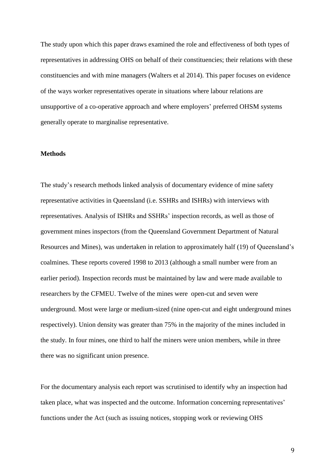The study upon which this paper draws examined the role and effectiveness of both types of representatives in addressing OHS on behalf of their constituencies; their relations with these constituencies and with mine managers (Walters et al 2014). This paper focuses on evidence of the ways worker representatives operate in situations where labour relations are unsupportive of a co-operative approach and where employers' preferred OHSM systems generally operate to marginalise representative.

# **Methods**

The study's research methods linked analysis of documentary evidence of mine safety representative activities in Queensland (i.e. SSHRs and ISHRs) with interviews with representatives. Analysis of ISHRs and SSHRs' inspection records, as well as those of government mines inspectors (from the Queensland Government Department of Natural Resources and Mines), was undertaken in relation to approximately half (19) of Queensland's coalmines. These reports covered 1998 to 2013 (although a small number were from an earlier period). Inspection records must be maintained by law and were made available to researchers by the CFMEU. Twelve of the mines were open-cut and seven were underground. Most were large or medium-sized (nine open-cut and eight underground mines respectively). Union density was greater than 75% in the majority of the mines included in the study. In four mines, one third to half the miners were union members, while in three there was no significant union presence.

For the documentary analysis each report was scrutinised to identify why an inspection had taken place, what was inspected and the outcome. Information concerning representatives' functions under the Act (such as issuing notices, stopping work or reviewing OHS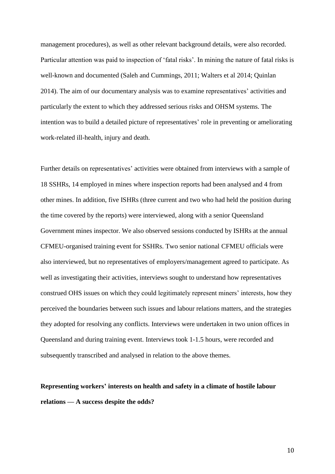management procedures), as well as other relevant background details, were also recorded. Particular attention was paid to inspection of 'fatal risks'. In mining the nature of fatal risks is well-known and documented (Saleh and Cummings, 2011; Walters et al 2014; Quinlan 2014). The aim of our documentary analysis was to examine representatives' activities and particularly the extent to which they addressed serious risks and OHSM systems. The intention was to build a detailed picture of representatives' role in preventing or ameliorating work-related ill-health, injury and death.

Further details on representatives' activities were obtained from interviews with a sample of 18 SSHRs, 14 employed in mines where inspection reports had been analysed and 4 from other mines. In addition, five ISHRs (three current and two who had held the position during the time covered by the reports) were interviewed, along with a senior Queensland Government mines inspector. We also observed sessions conducted by ISHRs at the annual CFMEU-organised training event for SSHRs. Two senior national CFMEU officials were also interviewed, but no representatives of employers/management agreed to participate. As well as investigating their activities, interviews sought to understand how representatives construed OHS issues on which they could legitimately represent miners' interests, how they perceived the boundaries between such issues and labour relations matters, and the strategies they adopted for resolving any conflicts. Interviews were undertaken in two union offices in Queensland and during training event. Interviews took 1-1.5 hours, were recorded and subsequently transcribed and analysed in relation to the above themes.

# **Representing workers' interests on health and safety in a climate of hostile labour relations — A success despite the odds?**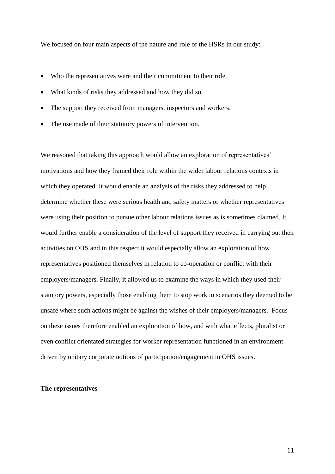We focused on four main aspects of the nature and role of the HSRs in our study:

- Who the representatives were and their commitment to their role.
- What kinds of risks they addressed and how they did so.
- The support they received from managers, inspectors and workers.
- The use made of their statutory powers of intervention.

We reasoned that taking this approach would allow an exploration of representatives' motivations and how they framed their role within the wider labour relations contexts in which they operated. It would enable an analysis of the risks they addressed to help determine whether these were serious health and safety matters or whether representatives were using their position to pursue other labour relations issues as is sometimes claimed. It would further enable a consideration of the level of support they received in carrying out their activities on OHS and in this respect it would especially allow an exploration of how representatives positioned themselves in relation to co-operation or conflict with their employers/managers. Finally, it allowed us to examine the ways in which they used their statutory powers, especially those enabling them to stop work in scenarios they deemed to be unsafe where such actions might be against the wishes of their employers/managers. Focus on these issues therefore enabled an exploration of how, and with what effects, pluralist or even conflict orientated strategies for worker representation functioned in an environment driven by unitary corporate notions of participation/engagement in OHS issues.

# **The representatives**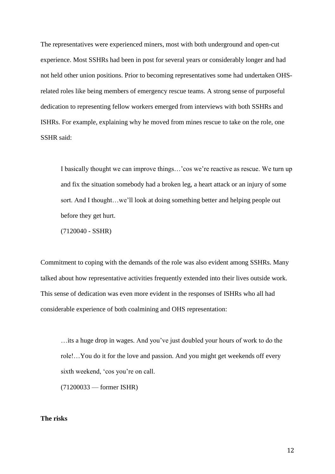The representatives were experienced miners, most with both underground and open-cut experience. Most SSHRs had been in post for several years or considerably longer and had not held other union positions. Prior to becoming representatives some had undertaken OHSrelated roles like being members of emergency rescue teams. A strong sense of purposeful dedication to representing fellow workers emerged from interviews with both SSHRs and ISHRs. For example, explaining why he moved from mines rescue to take on the role, one SSHR said:

I basically thought we can improve things…'cos we're reactive as rescue. We turn up and fix the situation somebody had a broken leg, a heart attack or an injury of some sort. And I thought…we'll look at doing something better and helping people out before they get hurt.

(7120040 - SSHR)

Commitment to coping with the demands of the role was also evident among SSHRs. Many talked about how representative activities frequently extended into their lives outside work. This sense of dedication was even more evident in the responses of ISHRs who all had considerable experience of both coalmining and OHS representation:

…its a huge drop in wages. And you've just doubled your hours of work to do the role!…You do it for the love and passion. And you might get weekends off every sixth weekend, 'cos you're on call.

(71200033 — former ISHR)

# **The risks**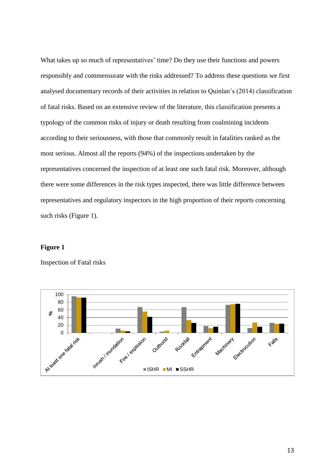What takes up so much of representatives' time? Do they use their functions and powers responsibly and commensurate with the risks addressed? To address these questions we first analysed documentary records of their activities in relation to Quinlan's (2014) classification of fatal risks. Based on an extensive review of the literature, this classification presents a typology of the common risks of injury or death resulting from coalmining incidents according to their seriousness, with those that commonly result in fatalities ranked as the most serious. Almost all the reports (94%) of the inspections undertaken by the representatives concerned the inspection of at least one such fatal risk. Moreover, although there were some differences in the risk types inspected, there was little difference between representatives and regulatory inspectors in the high proportion of their reports concerning such risks (Figure 1).

# **Figure 1**

Inspection of Fatal risks

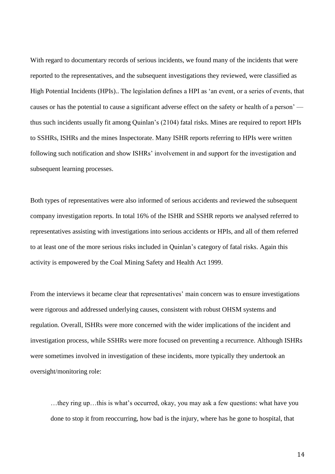With regard to documentary records of serious incidents, we found many of the incidents that were reported to the representatives, and the subsequent investigations they reviewed, were classified as High Potential Incidents (HPIs).. The legislation defines a HPI as 'an event, or a series of events, that causes or has the potential to cause a significant adverse effect on the safety or health of a person' thus such incidents usually fit among Quinlan's (2104) fatal risks. Mines are required to report HPIs to SSHRs, ISHRs and the mines Inspectorate. Many ISHR reports referring to HPIs were written following such notification and show ISHRs' involvement in and support for the investigation and subsequent learning processes.

Both types of representatives were also informed of serious accidents and reviewed the subsequent company investigation reports. In total 16% of the ISHR and SSHR reports we analysed referred to representatives assisting with investigations into serious accidents or HPIs, and all of them referred to at least one of the more serious risks included in Quinlan's category of fatal risks. Again this activity is empowered by the Coal Mining Safety and Health Act 1999.

From the interviews it became clear that representatives' main concern was to ensure investigations were rigorous and addressed underlying causes, consistent with robust OHSM systems and regulation. Overall, ISHRs were more concerned with the wider implications of the incident and investigation process, while SSHRs were more focused on preventing a recurrence. Although ISHRs were sometimes involved in investigation of these incidents, more typically they undertook an oversight/monitoring role:

…they ring up…this is what's occurred, okay, you may ask a few questions: what have you done to stop it from reoccurring, how bad is the injury, where has he gone to hospital, that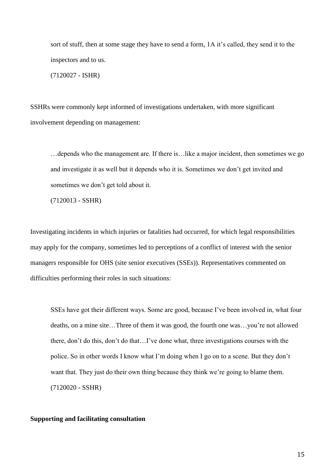sort of stuff, then at some stage they have to send a form, 1A it's called, they send it to the inspectors and to us.

(7120027 - ISHR)

SSHRs were commonly kept informed of investigations undertaken, with more significant involvement depending on management:

…depends who the management are. If there is…like a major incident, then sometimes we go and investigate it as well but it depends who it is. Sometimes we don't get invited and sometimes we don't get told about it.

(7120013 - SSHR)

Investigating incidents in which injuries or fatalities had occurred, for which legal responsibilities may apply for the company, sometimes led to perceptions of a conflict of interest with the senior managers responsible for OHS (site senior executives (SSEs)). Representatives commented on difficulties performing their roles in such situations:

SSEs have got their different ways. Some are good, because I've been involved in, what four deaths, on a mine site…Three of them it was good, the fourth one was…you're not allowed there, don't do this, don't do that…I've done what, three investigations courses with the police. So in other words I know what I'm doing when I go on to a scene. But they don't want that. They just do their own thing because they think we're going to blame them. (7120020 - SSHR)

# **Supporting and facilitating consultation**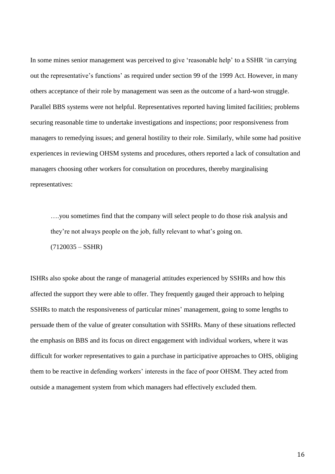In some mines senior management was perceived to give 'reasonable help' to a SSHR 'in carrying out the representative's functions' as required under section 99 of the 1999 Act. However, in many others acceptance of their role by management was seen as the outcome of a hard-won struggle. Parallel BBS systems were not helpful. Representatives reported having limited facilities; problems securing reasonable time to undertake investigations and inspections; poor responsiveness from managers to remedying issues; and general hostility to their role. Similarly, while some had positive experiences in reviewing OHSM systems and procedures, others reported a lack of consultation and managers choosing other workers for consultation on procedures, thereby marginalising representatives:

….you sometimes find that the company will select people to do those risk analysis and they're not always people on the job, fully relevant to what's going on.  $(7120035 - SSHR)$ 

ISHRs also spoke about the range of managerial attitudes experienced by SSHRs and how this affected the support they were able to offer. They frequently gauged their approach to helping SSHRs to match the responsiveness of particular mines' management, going to some lengths to persuade them of the value of greater consultation with SSHRs. Many of these situations reflected the emphasis on BBS and its focus on direct engagement with individual workers, where it was difficult for worker representatives to gain a purchase in participative approaches to OHS, obliging them to be reactive in defending workers' interests in the face of poor OHSM. They acted from outside a management system from which managers had effectively excluded them.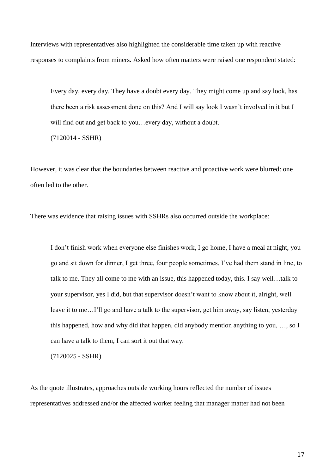Interviews with representatives also highlighted the considerable time taken up with reactive responses to complaints from miners. Asked how often matters were raised one respondent stated:

Every day, every day. They have a doubt every day. They might come up and say look, has there been a risk assessment done on this? And I will say look I wasn't involved in it but I will find out and get back to you…every day, without a doubt. (7120014 - SSHR)

However, it was clear that the boundaries between reactive and proactive work were blurred: one often led to the other.

There was evidence that raising issues with SSHRs also occurred outside the workplace:

I don't finish work when everyone else finishes work, I go home, I have a meal at night, you go and sit down for dinner, I get three, four people sometimes, I've had them stand in line, to talk to me. They all come to me with an issue, this happened today, this. I say well…talk to your supervisor, yes I did, but that supervisor doesn't want to know about it, alright, well leave it to me…I'll go and have a talk to the supervisor, get him away, say listen, yesterday this happened, how and why did that happen, did anybody mention anything to you, …, so I can have a talk to them, I can sort it out that way.

(7120025 - SSHR)

As the quote illustrates, approaches outside working hours reflected the number of issues representatives addressed and/or the affected worker feeling that manager matter had not been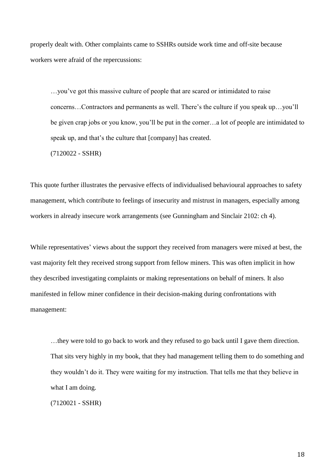properly dealt with. Other complaints came to SSHRs outside work time and off-site because workers were afraid of the repercussions:

…you've got this massive culture of people that are scared or intimidated to raise concerns…Contractors and permanents as well. There's the culture if you speak up…you'll be given crap jobs or you know, you'll be put in the corner…a lot of people are intimidated to speak up, and that's the culture that [company] has created.

(7120022 - SSHR)

This quote further illustrates the pervasive effects of individualised behavioural approaches to safety management, which contribute to feelings of insecurity and mistrust in managers, especially among workers in already insecure work arrangements (see Gunningham and Sinclair 2102: ch 4).

While representatives' views about the support they received from managers were mixed at best, the vast majority felt they received strong support from fellow miners. This was often implicit in how they described investigating complaints or making representations on behalf of miners. It also manifested in fellow miner confidence in their decision-making during confrontations with management:

…they were told to go back to work and they refused to go back until I gave them direction. That sits very highly in my book, that they had management telling them to do something and they wouldn't do it. They were waiting for my instruction. That tells me that they believe in what I am doing.

(7120021 - SSHR)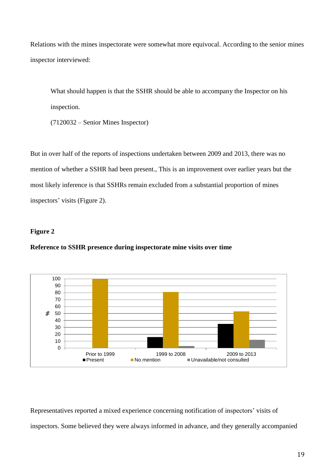Relations with the mines inspectorate were somewhat more equivocal. According to the senior mines inspector interviewed:

What should happen is that the SSHR should be able to accompany the Inspector on his inspection.

(7120032 – Senior Mines Inspector)

But in over half of the reports of inspections undertaken between 2009 and 2013, there was no mention of whether a SSHR had been present., This is an improvement over earlier years but the most likely inference is that SSHRs remain excluded from a substantial proportion of mines inspectors' visits (Figure 2).

# **Figure 2**



**Reference to SSHR presence during inspectorate mine visits over time**

Representatives reported a mixed experience concerning notification of inspectors' visits of inspectors. Some believed they were always informed in advance, and they generally accompanied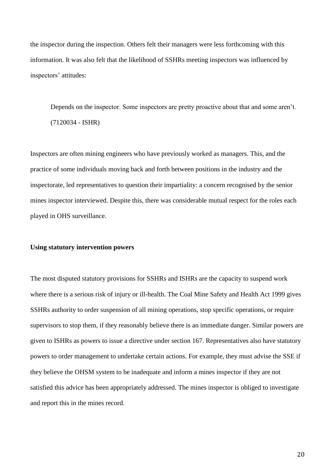the inspector during the inspection. Others felt their managers were less forthcoming with this information. It was also felt that the likelihood of SSHRs meeting inspectors was influenced by inspectors' attitudes:

Depends on the inspector. Some inspectors are pretty proactive about that and some aren't. (7120034 - ISHR)

Inspectors are often mining engineers who have previously worked as managers. This, and the practice of some individuals moving back and forth between positions in the industry and the inspectorate, led representatives to question their impartiality: a concern recognised by the senior mines inspector interviewed. Despite this, there was considerable mutual respect for the roles each played in OHS surveillance.

### **Using statutory intervention powers**

The most disputed statutory provisions for SSHRs and ISHRs are the capacity to suspend work where there is a serious risk of injury or ill-health. The Coal Mine Safety and Health Act 1999 gives SSHRs authority to order suspension of all mining operations, stop specific operations, or require supervisors to stop them, if they reasonably believe there is an immediate danger. Similar powers are given to ISHRs as powers to issue a directive under section 167. Representatives also have statutory powers to order management to undertake certain actions. For example, they must advise the SSE if they believe the OHSM system to be inadequate and inform a mines inspector if they are not satisfied this advice has been appropriately addressed. The mines inspector is obliged to investigate and report this in the mines record.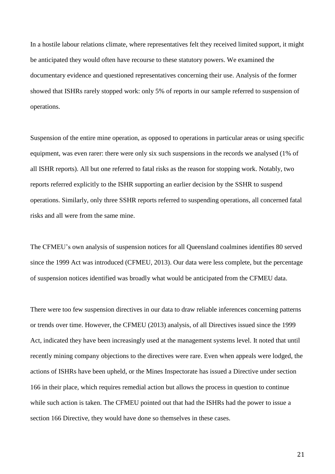In a hostile labour relations climate, where representatives felt they received limited support, it might be anticipated they would often have recourse to these statutory powers. We examined the documentary evidence and questioned representatives concerning their use. Analysis of the former showed that ISHRs rarely stopped work: only 5% of reports in our sample referred to suspension of operations.

Suspension of the entire mine operation, as opposed to operations in particular areas or using specific equipment, was even rarer: there were only six such suspensions in the records we analysed (1% of all ISHR reports). All but one referred to fatal risks as the reason for stopping work. Notably, two reports referred explicitly to the ISHR supporting an earlier decision by the SSHR to suspend operations. Similarly, only three SSHR reports referred to suspending operations, all concerned fatal risks and all were from the same mine.

The CFMEU's own analysis of suspension notices for all Queensland coalmines identifies 80 served since the 1999 Act was introduced (CFMEU, 2013). Our data were less complete, but the percentage of suspension notices identified was broadly what would be anticipated from the CFMEU data.

There were too few suspension directives in our data to draw reliable inferences concerning patterns or trends over time. However, the CFMEU (2013) analysis, of all Directives issued since the 1999 Act, indicated they have been increasingly used at the management systems level. It noted that until recently mining company objections to the directives were rare. Even when appeals were lodged, the actions of ISHRs have been upheld, or the Mines Inspectorate has issued a Directive under section 166 in their place, which requires remedial action but allows the process in question to continue while such action is taken. The CFMEU pointed out that had the ISHRs had the power to issue a section 166 Directive, they would have done so themselves in these cases.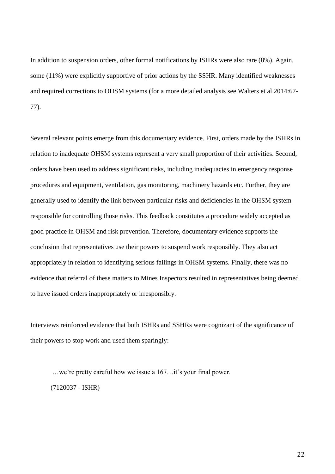In addition to suspension orders, other formal notifications by ISHRs were also rare (8%). Again, some (11%) were explicitly supportive of prior actions by the SSHR. Many identified weaknesses and required corrections to OHSM systems (for a more detailed analysis see Walters et al 2014:67- 77).

Several relevant points emerge from this documentary evidence. First, orders made by the ISHRs in relation to inadequate OHSM systems represent a very small proportion of their activities. Second, orders have been used to address significant risks, including inadequacies in emergency response procedures and equipment, ventilation, gas monitoring, machinery hazards etc. Further, they are generally used to identify the link between particular risks and deficiencies in the OHSM system responsible for controlling those risks. This feedback constitutes a procedure widely accepted as good practice in OHSM and risk prevention. Therefore, documentary evidence supports the conclusion that representatives use their powers to suspend work responsibly. They also act appropriately in relation to identifying serious failings in OHSM systems. Finally, there was no evidence that referral of these matters to Mines Inspectors resulted in representatives being deemed to have issued orders inappropriately or irresponsibly.

Interviews reinforced evidence that both ISHRs and SSHRs were cognizant of the significance of their powers to stop work and used them sparingly:

…we're pretty careful how we issue a 167…it's your final power. (7120037 - ISHR)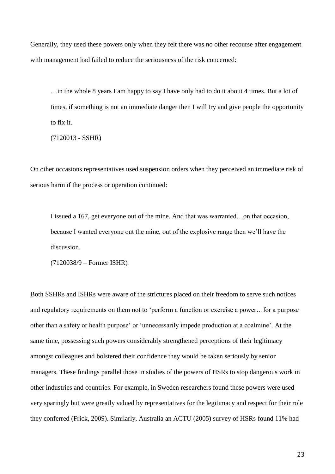Generally, they used these powers only when they felt there was no other recourse after engagement with management had failed to reduce the seriousness of the risk concerned:

…in the whole 8 years I am happy to say I have only had to do it about 4 times. But a lot of times, if something is not an immediate danger then I will try and give people the opportunity to fix it.

(7120013 - SSHR)

On other occasions representatives used suspension orders when they perceived an immediate risk of serious harm if the process or operation continued:

I issued a 167, get everyone out of the mine. And that was warranted…on that occasion, because I wanted everyone out the mine, out of the explosive range then we'll have the discussion.

(7120038/9 – Former ISHR)

Both SSHRs and ISHRs were aware of the strictures placed on their freedom to serve such notices and regulatory requirements on them not to 'perform a function or exercise a power…for a purpose other than a safety or health purpose' or 'unnecessarily impede production at a coalmine'. At the same time, possessing such powers considerably strengthened perceptions of their legitimacy amongst colleagues and bolstered their confidence they would be taken seriously by senior managers. These findings parallel those in studies of the powers of HSRs to stop dangerous work in other industries and countries. For example, in Sweden researchers found these powers were used very sparingly but were greatly valued by representatives for the legitimacy and respect for their role they conferred (Frick, 2009). Similarly, Australia an ACTU (2005) survey of HSRs found 11% had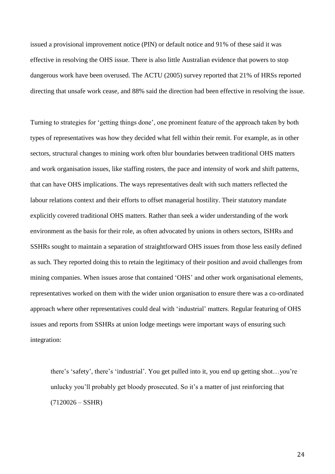issued a provisional improvement notice (PIN) or default notice and 91% of these said it was effective in resolving the OHS issue. There is also little Australian evidence that powers to stop dangerous work have been overused. The ACTU (2005) survey reported that 21% of HRSs reported directing that unsafe work cease, and 88% said the direction had been effective in resolving the issue.

Turning to strategies for 'getting things done', one prominent feature of the approach taken by both types of representatives was how they decided what fell within their remit. For example, as in other sectors, structural changes to mining work often blur boundaries between traditional OHS matters and work organisation issues, like staffing rosters, the pace and intensity of work and shift patterns, that can have OHS implications. The ways representatives dealt with such matters reflected the labour relations context and their efforts to offset managerial hostility. Their statutory mandate explicitly covered traditional OHS matters. Rather than seek a wider understanding of the work environment as the basis for their role, as often advocated by unions in others sectors, ISHRs and SSHRs sought to maintain a separation of straightforward OHS issues from those less easily defined as such. They reported doing this to retain the legitimacy of their position and avoid challenges from mining companies. When issues arose that contained 'OHS' and other work organisational elements, representatives worked on them with the wider union organisation to ensure there was a co-ordinated approach where other representatives could deal with 'industrial' matters. Regular featuring of OHS issues and reports from SSHRs at union lodge meetings were important ways of ensuring such integration:

there's 'safety', there's 'industrial'. You get pulled into it, you end up getting shot…you're unlucky you'll probably get bloody prosecuted. So it's a matter of just reinforcing that  $(7120026 - SSHR)$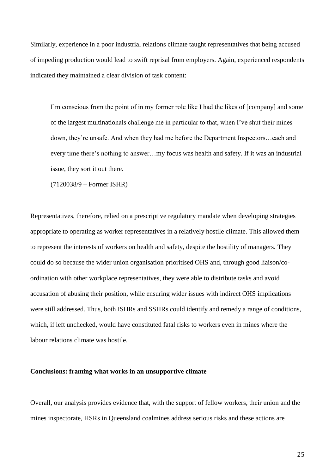Similarly, experience in a poor industrial relations climate taught representatives that being accused of impeding production would lead to swift reprisal from employers. Again, experienced respondents indicated they maintained a clear division of task content:

I'm conscious from the point of in my former role like I had the likes of [company] and some of the largest multinationals challenge me in particular to that, when I've shut their mines down, they're unsafe. And when they had me before the Department Inspectors…each and every time there's nothing to answer…my focus was health and safety. If it was an industrial issue, they sort it out there.

(7120038/9 – Former ISHR)

Representatives, therefore, relied on a prescriptive regulatory mandate when developing strategies appropriate to operating as worker representatives in a relatively hostile climate. This allowed them to represent the interests of workers on health and safety, despite the hostility of managers. They could do so because the wider union organisation prioritised OHS and, through good liaison/coordination with other workplace representatives, they were able to distribute tasks and avoid accusation of abusing their position, while ensuring wider issues with indirect OHS implications were still addressed. Thus, both ISHRs and SSHRs could identify and remedy a range of conditions, which, if left unchecked, would have constituted fatal risks to workers even in mines where the labour relations climate was hostile.

#### **Conclusions: framing what works in an unsupportive climate**

Overall, our analysis provides evidence that, with the support of fellow workers, their union and the mines inspectorate, HSRs in Queensland coalmines address serious risks and these actions are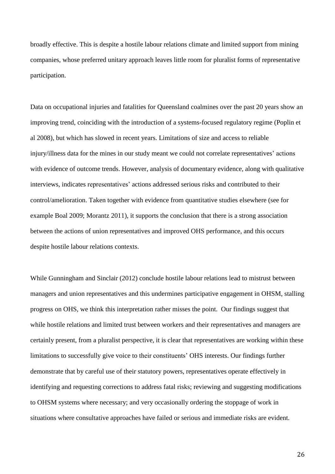broadly effective. This is despite a hostile labour relations climate and limited support from mining companies, whose preferred unitary approach leaves little room for pluralist forms of representative participation.

Data on occupational injuries and fatalities for Queensland coalmines over the past 20 years show an improving trend, coinciding with the introduction of a systems-focused regulatory regime (Poplin et al 2008), but which has slowed in recent years. Limitations of size and access to reliable injury/illness data for the mines in our study meant we could not correlate representatives' actions with evidence of outcome trends. However, analysis of documentary evidence, along with qualitative interviews, indicates representatives' actions addressed serious risks and contributed to their control/amelioration. Taken together with evidence from quantitative studies elsewhere (see for example Boal 2009; Morantz 2011), it supports the conclusion that there is a strong association between the actions of union representatives and improved OHS performance, and this occurs despite hostile labour relations contexts.

While Gunningham and Sinclair (2012) conclude hostile labour relations lead to mistrust between managers and union representatives and this undermines participative engagement in OHSM, stalling progress on OHS, we think this interpretation rather misses the point. Our findings suggest that while hostile relations and limited trust between workers and their representatives and managers are certainly present, from a pluralist perspective, it is clear that representatives are working within these limitations to successfully give voice to their constituents' OHS interests. Our findings further demonstrate that by careful use of their statutory powers, representatives operate effectively in identifying and requesting corrections to address fatal risks; reviewing and suggesting modifications to OHSM systems where necessary; and very occasionally ordering the stoppage of work in situations where consultative approaches have failed or serious and immediate risks are evident.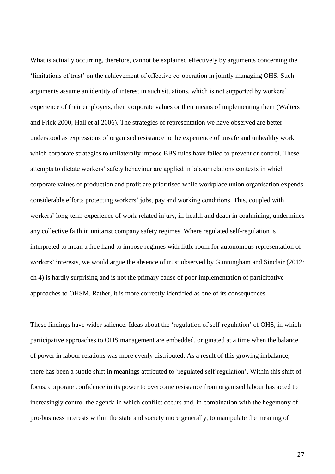What is actually occurring, therefore, cannot be explained effectively by arguments concerning the 'limitations of trust' on the achievement of effective co-operation in jointly managing OHS. Such arguments assume an identity of interest in such situations, which is not supported by workers' experience of their employers, their corporate values or their means of implementing them (Walters and Frick 2000, Hall et al 2006). The strategies of representation we have observed are better understood as expressions of organised resistance to the experience of unsafe and unhealthy work, which corporate strategies to unilaterally impose BBS rules have failed to prevent or control. These attempts to dictate workers' safety behaviour are applied in labour relations contexts in which corporate values of production and profit are prioritised while workplace union organisation expends considerable efforts protecting workers' jobs, pay and working conditions. This, coupled with workers' long-term experience of work-related injury, ill-health and death in coalmining, undermines any collective faith in unitarist company safety regimes. Where regulated self-regulation is interpreted to mean a free hand to impose regimes with little room for autonomous representation of workers' interests, we would argue the absence of trust observed by Gunningham and Sinclair (2012: ch 4) is hardly surprising and is not the primary cause of poor implementation of participative approaches to OHSM. Rather, it is more correctly identified as one of its consequences.

These findings have wider salience. Ideas about the 'regulation of self-regulation' of OHS, in which participative approaches to OHS management are embedded, originated at a time when the balance of power in labour relations was more evenly distributed. As a result of this growing imbalance, there has been a subtle shift in meanings attributed to 'regulated self-regulation'. Within this shift of focus, corporate confidence in its power to overcome resistance from organised labour has acted to increasingly control the agenda in which conflict occurs and, in combination with the hegemony of pro-business interests within the state and society more generally, to manipulate the meaning of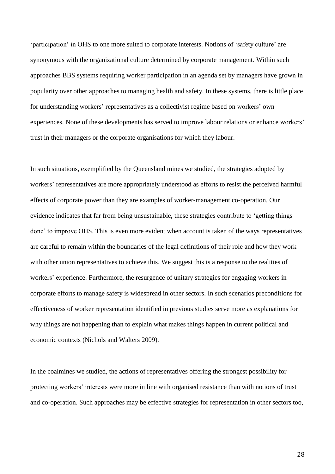'participation' in OHS to one more suited to corporate interests. Notions of 'safety culture' are synonymous with the organizational culture determined by corporate management. Within such approaches BBS systems requiring worker participation in an agenda set by managers have grown in popularity over other approaches to managing health and safety. In these systems, there is little place for understanding workers' representatives as a collectivist regime based on workers' own experiences. None of these developments has served to improve labour relations or enhance workers' trust in their managers or the corporate organisations for which they labour.

In such situations, exemplified by the Queensland mines we studied, the strategies adopted by workers' representatives are more appropriately understood as efforts to resist the perceived harmful effects of corporate power than they are examples of worker-management co-operation. Our evidence indicates that far from being unsustainable, these strategies contribute to 'getting things done' to improve OHS. This is even more evident when account is taken of the ways representatives are careful to remain within the boundaries of the legal definitions of their role and how they work with other union representatives to achieve this. We suggest this is a response to the realities of workers' experience. Furthermore, the resurgence of unitary strategies for engaging workers in corporate efforts to manage safety is widespread in other sectors. In such scenarios preconditions for effectiveness of worker representation identified in previous studies serve more as explanations for why things are not happening than to explain what makes things happen in current political and economic contexts (Nichols and Walters 2009).

In the coalmines we studied, the actions of representatives offering the strongest possibility for protecting workers' interests were more in line with organised resistance than with notions of trust and co-operation. Such approaches may be effective strategies for representation in other sectors too,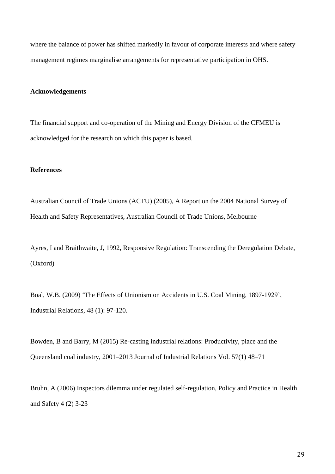where the balance of power has shifted markedly in favour of corporate interests and where safety management regimes marginalise arrangements for representative participation in OHS.

# **Acknowledgements**

The financial support and co-operation of the Mining and Energy Division of the CFMEU is acknowledged for the research on which this paper is based.

# **References**

Australian Council of Trade Unions (ACTU) (2005), A Report on the 2004 National Survey of Health and Safety Representatives, Australian Council of Trade Unions, Melbourne

Ayres, I and Braithwaite, J, 1992, Responsive Regulation: Transcending the Deregulation Debate, (Oxford)

Boal, W.B. (2009) 'The Effects of Unionism on Accidents in U.S. Coal Mining, 1897-1929', Industrial Relations, 48 (1): 97-120.

Bowden, B and Barry, M (2015) Re-casting industrial relations: Productivity, place and the Queensland coal industry, 2001–2013 Journal of Industrial Relations Vol. 57(1) 48–71

Bruhn, A (2006) Inspectors dilemma under regulated self-regulation, Policy and Practice in Health and Safety 4 (2) 3-23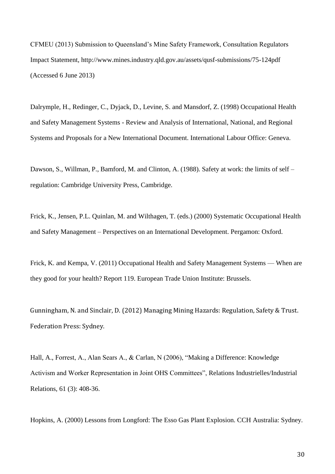CFMEU (2013) Submission to Queensland's Mine Safety Framework, Consultation Regulators Impact Statement, http://www.mines.industry.qld.gov.au/assets/qusf-submissions/75-124pdf (Accessed 6 June 2013)

Dalrymple, H., Redinger, C., Dyjack, D., Levine, S. and Mansdorf, Z. (1998) Occupational Health and Safety Management Systems - Review and Analysis of International, National, and Regional Systems and Proposals for a New International Document. International Labour Office: Geneva.

Dawson, S., Willman, P., Bamford, M. and Clinton, A. (1988). Safety at work: the limits of self – regulation: Cambridge University Press, Cambridge.

Frick, K., Jensen, P.L. Quinlan, M. and Wilthagen, T. (eds.) (2000) Systematic Occupational Health and Safety Management – Perspectives on an International Development. Pergamon: Oxford.

Frick, K. and Kempa, V. (2011) Occupational Health and Safety Management Systems — When are they good for your health? Report 119. European Trade Union Institute: Brussels.

Gunningham, N. and Sinclair, D. (2012) Managing Mining Hazards: Regulation, Safety & Trust. Federation Press: Sydney.

Hall, A., Forrest, A., Alan Sears A., & Carlan, N (2006), "Making a Difference: Knowledge Activism and Worker Representation in Joint OHS Committees", Relations Industrielles/Industrial Relations, 61 (3): 408-36.

Hopkins, A. (2000) Lessons from Longford: The Esso Gas Plant Explosion. CCH Australia: Sydney.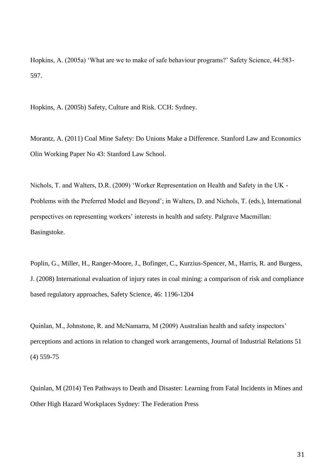Hopkins, A. (2005a) 'What are we to make of safe behaviour programs?' Safety Science, 44:583- 597.

Hopkins, A. (2005b) Safety, Culture and Risk. CCH: Sydney.

Morantz, A. (2011) Coal Mine Safety: Do Unions Make a Difference. Stanford Law and Economics Olin Working Paper No 43: Stanford Law School.

Nichols, T. and Walters, D.R. (2009) 'Worker Representation on Health and Safety in the UK - Problems with the Preferred Model and Beyond'; in Walters, D. and Nichols, T. (eds.), International perspectives on representing workers' interests in health and safety. Palgrave Macmillan: Basingstoke.

Poplin, G., Miller, H., Ranger-Moore, J., Bofinger, C., Kurzius-Spencer, M., Harris, R. and Burgess, J. (2008) International evaluation of injury rates in coal mining: a comparison of risk and compliance based regulatory approaches, Safety Science, 46: 1196-1204

Quinlan, M., Johnstone, R. and McNamarra, M (2009) Australian health and safety inspectors' perceptions and actions in relation to changed work arrangements, Journal of Industrial Relations 51 (4) 559-75

Quinlan, M (2014) Ten Pathways to Death and Disaster: Learning from Fatal Incidents in Mines and Other High Hazard Workplaces Sydney: The Federation Press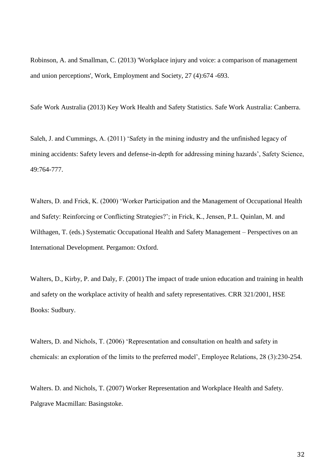Robinson, A. and Smallman, C. (2013) 'Workplace injury and voice: a comparison of management and union perceptions', Work, Employment and Society, 27 (4):674 -693.

Safe Work Australia (2013) Key Work Health and Safety Statistics. Safe Work Australia: Canberra.

Saleh, J. and Cummings, A. (2011) 'Safety in the mining industry and the unfinished legacy of mining accidents: Safety levers and defense-in-depth for addressing mining hazards', Safety Science, 49:764-777.

Walters, D. and Frick, K. (2000) 'Worker Participation and the Management of Occupational Health and Safety: Reinforcing or Conflicting Strategies?'; in Frick, K., Jensen, P.L. Quinlan, M. and Wilthagen, T. (eds.) Systematic Occupational Health and Safety Management – Perspectives on an International Development. Pergamon: Oxford.

Walters, D., Kirby, P. and Daly, F. (2001) The impact of trade union education and training in health and safety on the workplace activity of health and safety representatives. CRR 321/2001, HSE Books: Sudbury.

Walters, D. and Nichols, T. (2006) 'Representation and consultation on health and safety in chemicals: an exploration of the limits to the preferred model', Employee Relations, 28 (3):230-254.

Walters. D. and Nichols, T. (2007) Worker Representation and Workplace Health and Safety. Palgrave Macmillan: Basingstoke.